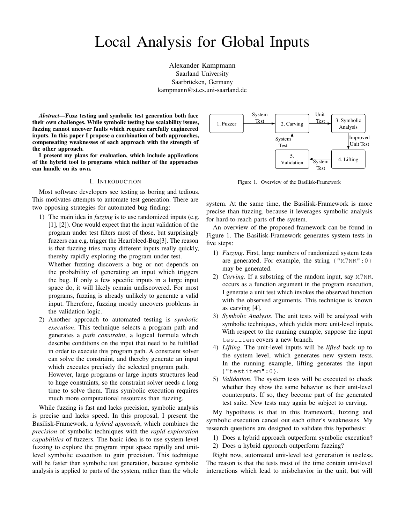# Local Analysis for Global Inputs

Alexander Kampmann Saarland University Saarbrücken, Germany kampmann@st.cs.uni-saarland.de

*Abstract*—Fuzz testing and symbolic test generation both face their own challenges. While symbolic testing has scalability issues, fuzzing cannot uncover faults which require carefully engineered inputs. In this paper I propose a combination of both approaches, compensating weaknesses of each approach with the strength of the other approach.

I present my plans for evaluation, which include applications of the hybrid tool to programs which neither of the approaches can handle on its own.

## I. INTRODUCTION

Most software developers see testing as boring and tedious. This motivates attempts to automate test generation. There are two opposing strategies for automated bug finding:

1) The main idea in *fuzzing* is to use randomized inputs (e.g. [1], [2]). One would expect that the input validation of the program under test filters most of those, but surprisingly fuzzers can e.g. trigger the Heartbleed-Bug[3]. The reason is that fuzzing tries many different inputs really quickly, thereby rapidly exploring the program under test.

Whether fuzzing discovers a bug or not depends on the probability of generating an input which triggers the bug. If only a few specific inputs in a large input space do, it will likely remain undiscovered. For most programs, fuzzing is already unlikely to generate a valid input. Therefore, fuzzing mostly uncovers problems in the validation logic.

2) Another approach to automated testing is *symbolic execution*. This technique selects a program path and generates a *path constraint*, a logical formula which describe conditions on the input that need to be fulfilled in order to execute this program path. A constraint solver can solve the constraint, and thereby generate an input which executes precisely the selected program path. However, large programs or large inputs structures lead to huge constraints, so the constraint solver needs a long time to solve them. Thus symbolic execution requires the wind mathemets. This expendite testing and scationally sistem, the system from the system, in this part propose a combination of both approachs of the system, rather parts of the system, rather parts of the system, an

much more computational resources than fuzzing.

While fuzzing is fast and lacks precision, symbolic analysis is precise and lacks speed. In this proposal, I present the Basilisk-Framework, a *hybrid approach*, which combines the *precision* of symbolic techniques with the *rapid exploration capabilities* of fuzzers. The basic idea is to use system-level fuzzing to explore the program input space rapidly and unitlevel symbolic execution to gain precision. This technique will be faster than symbolic test generation, because symbolic



Figure 1. Overview of the Basilisk-Framework

system. At the same time, the Basilisk-Framework is more precise than fuzzing, because it leverages symbolic analysis for hard-to-reach parts of the system.

An overview of the proposed framework can be found in Figure 1. The Basilisk-Framework generates system tests in five steps:

- 1) *Fuzzing*. First, large numbers of randomized system tests are generated. For example, the string {"M7NR":0} may be generated.
- 2) *Carving*. If a substring of the random input, say M7NR, occurs as a function argument in the program execution, I generate a unit test which invokes the observed function with the observed arguments. This technique is known as carving [4].
- 3) *Symbolic Analysis*. The unit tests will be analyzed with symbolic techniques, which yields more unit-level inputs. With respect to the running example, suppose the input testitem covers a new branch.
- 4) *Lifting*. The unit-level inputs will be *lifted* back up to the system level, which generates new system tests. In the running example, lifting generates the input {"testitem":0}.
- 5) *Validation*. The system tests will be executed to check whether they show the same behavior as their unit-level counterparts. If so, they become part of the generated test suite. New tests may again be subject to carving.

My hypothesis is that in this framework, fuzzing and symbolic execution cancel out each other's weaknesses. My research questions are designed to validate this hypothesis:

1) Does a hybrid approach outperform symbolic execution?

2) Does a hybrid approach outperform fuzzing?

Right now, automated unit-level test generation is useless. The reason is that the tests most of the time contain unit-level interactions which lead to misbehavior in the unit, but will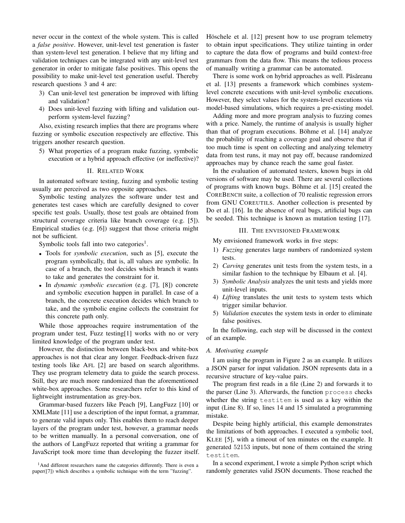never occur in the context of the whole system. This is called a *false positive*. However, unit-level test generation is faster than system-level test generation. I believe that my lifting and validation techniques can be integrated with any unit-level test generator in order to mitigate false positives. This opens the possibility to make unit-level test generation useful. Thereby research questions 3 and 4 are:

- 3) Can unit-level test generation be improved with lifting and validation?
- 4) Does unit-level fuzzing with lifting and validation outperform system-level fuzzing?

Also, existing research implies that there are programs where fuzzing or symbolic execution respectively are effective. This triggers another research question.

5) What properties of a program make fuzzing, symbolic execution or a hybrid approach effective (or ineffective)?

# II. RELATED WORK

In automated software testing, fuzzing and symbolic testing usually are perceived as two opposite approaches.

Symbolic testing analyzes the software under test and generates test cases which are carefully designed to cover specific test goals. Usually, those test goals are obtained from structural coverage criteria like branch coverage (e.g. [5]). Empirical studies (e.g. [6]) suggest that those criteria might not be sufficient.

Symbolic tools fall into two categories<sup>1</sup>.

- Tools for *symbolic execution*, such as [5], execute the program symbolically, that is, all values are symbolic. In case of a branch, the tool decides which branch it wants to take and generates the constraint for it.
- In *dynamic symbolic execution* (e.g. [7], [8]) concrete and symbolic execution happen in parallel. In case of a branch, the concrete execution decides which branch to take, and the symbolic engine collects the constraint for this concrete path only.

While those approaches require instrumentation of the program under test, Fuzz testing[1] works with no or very limited knowledge of the program under test.

However, the distinction between black-box and white-box approaches is not that clear any longer. Feedback-driven fuzz testing tools like AFL [2] are based on search algorithms. They use program telemetry data to guide the search process. Still, they are much more randomized than the aforementioned white-box approaches. Some researchers refer to this kind of lightweight instrumentation as grey-box.

Grammar-based fuzzers like Peach [9], LangFuzz [10] or XMLMate [11] use a description of the input format, a grammar, to generate valid inputs only. This enables them to reach deeper layers of the program under test, however, a grammar needs to be written manually. In a personal conversation, one of the authors of LangFuzz reported that writing a grammar for JavaScript took more time than developing the fuzzer itself.

<sup>1</sup>And different researchers name the categories differently. There is even a paper([7]) which describes a symbolic technique with the term "fuzzing".

Höschele et al.  $[12]$  present how to use program telemetry to obtain input specifications. They utilize tainting in order to capture the data flow of programs and build context-free grammars from the data flow. This means the tedious process of manually writing a grammar can be automated.

There is some work on hybrid approaches as well. Pǎsǎreanu et al. [13] presents a framework which combines systemlevel concrete executions with unit-level symbolic executions. However, they select values for the system-level executions via model-based simulations, which requires a pre-existing model.

Adding more and more program analysis to fuzzing comes with a price. Namely, the runtime of analysis is usually higher than that of program executions. Böhme et al.  $[14]$  analyze the probability of reaching a coverage goal and observe that if too much time is spent on collecting and analyzing telemetry data from test runs, it may not pay off, because randomized approaches may by chance reach the same goal faster.

In the evaluation of automated testers, known bugs in old versions of software may be used. There are several collections of programs with known bugs. Böhme et al. [15] created the COREBENCH suite, a collection of 70 realistic regression errors from GNU COREUTILS. Another collection is presented by Do et al. [16]. In the absence of real bugs, artificial bugs can be seeded. This technique is known as mutation testing [17].

# III. THE ENVISIONED FRAMEWORK

My envisioned framework works in five steps:

- 1) *Fuzzing* generates large numbers of randomized system tests.
- 2) *Carving* generates unit tests from the system tests, in a similar fashion to the technique by Elbaum et al. [4].
- 3) *Symbolic Analysis* analyzes the unit tests and yields more unit-level inputs.
- 4) *Lifting* translates the unit tests to system tests which trigger similar behavior.
- 5) *Validation* executes the system tests in order to eliminate false positives.

In the following, each step will be discussed in the context of an example.

### *A. Motivating example*

I am using the program in Figure 2 as an example. It utilizes a JSON parser for input validation. JSON represents data in a recursive structure of key-value pairs.

The program first reads in a file (Line 2) and forwards it to the parser (Line 3). Afterwards, the function process checks whether the string testitem is used as a key within the input (Line 8). If so, lines 14 and 15 simulated a programming mistake.

Despite being highly artificial, this example demonstrates the limitations of both approaches. I executed a symbolic tool, KLEE [5], with a timeout of ten minutes on the example. It generated 52153 inputs, but none of them contained the string testitem.

In a second experiment, I wrote a simple Python script which randomly generates valid JSON documents. Those reached the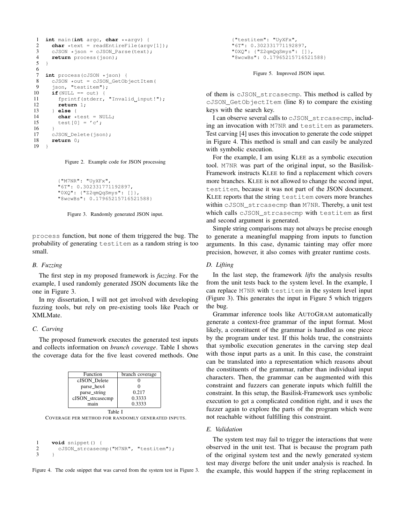```
1 int main(int argc, char **argv) {<br>2 char *text = readEntireFile(arg
2 char *text = readEntireFile(argv[1]);<br>3 cJSON *json = cJSON Parse(text);
 3 cJSON \starjson = cJSON_Parse(text);<br>4 return process(ison):
        return process(json);
5 }
\frac{6}{7}7 int process(cJSON *json) {
8 cJSON *out = cJSON_GetObjectItem(<br>9 ison. "testitem"):
         json, "testitem");
10 \mathbf{if}(\text{NULL} == \text{out}) {
11 fprintf(stderr, "Invalid_input!");<br>12 return 1;
           return 1;
13 } else {
14 char *test = NULL;<br>15 char \uparrow contributed:
           test[0] = 'c';\frac{16}{17}cJSON_Delete(json);
18 return 0;
19 }
```
Figure 2. Example code for JSON processing

{"M7NR": "UyXFx", "6T": 0.302331771192897, "0XQ": {"Z2qmQqSmys": []}, "8wcwBs": 0.17965215716521588}



process function, but none of them triggered the bug. The probability of generating testitem as a random string is too small.

#### *B. Fuzzing*

The first step in my proposed framework is *fuzzing*. For the example, I used randomly generated JSON documents like the one in Figure 3.

In my dissertation, I will not get involved with developing fuzzing tools, but rely on pre-existing tools like Peach or XMLMate.

#### *C. Carving*

The proposed framework executes the generated test inputs and collects information on *branch coverage*. Table I shows the coverage data for the five least covered methods. One

| Function         | branch coverage |
|------------------|-----------------|
| cJSON Delete     |                 |
| parse_hex4       | 0               |
| parse_string     | 0.217           |
| cJSON_strcasecmp | 0.3333          |
| main             | 0.3333          |

Table I COVERAGE PER METHOD FOR RANDOMLY GENERATED INPUTS.

```
1 void snippet() {<br>2 cJSON strcasecy
         cJSON_strcasecmp("M7NR", "testitem");
3 }
```
Figure 4. The code snippet that was carved from the system test in Figure 3.

{"testitem": "UyXFx", "6T": 0.302331771192897, "0XQ": {"Z2qmQqSmys": []}, "8wcwBs": 0.17965215716521588}

Figure 5. Improved JSON input.

of them is cJSON\_strcasecmp. This method is called by cJSON\_GetObjectItem (line 8) to compare the existing keys with the search key.

I can observe several calls to cJSON\_strcasecmp, including an invocation with M7NR and testitem as parameters. Test carving [4] uses this invocation to generate the code snippet in Figure 4. This method is small and can easily be analyzed with symbolic execution.

For the example, I am using KLEE as a symbolic execution tool. M7NR was part of the original input, so the Basilisk-Framework instructs KLEE to find a replacement which covers more branches. KLEE is not allowed to change the second input, testitem, because it was not part of the JSON document. KLEE reports that the string testitem covers more branches within cJSON strcasecmp than M7NR. Thereby, a unit test which calls cJSON\_strcasecmp with testitem as first and second argument is generated.

Simple string comparisons may not always be precise enough to generate a meaningful mapping from inputs to function arguments. In this case, dynamic tainting may offer more precision, however, it also comes with greater runtime costs.

# *D. Lifting*

In the last step, the framework *lifts* the analysis results from the unit tests back to the system level. In the example, I can replace M7NR with testitem in the system level input (Figure 3). This generates the input in Figure 5 which triggers the bug.

Grammar inference tools like AUTOGRAM automatically generate a context-free grammar of the input format. Most likely, a constituent of the grammar is handled as one piece by the program under test. If this holds true, the constraints that symbolic execution generates in the carving step deal with those input parts as a unit. In this case, the constraint can be translated into a representation which reasons about the constituents of the grammar, rather than individual input characters. Then, the grammar can be augmented with this constraint and fuzzers can generate inputs which fulfill the constraint. In this setup, the Basilisk-Framework uses symbolic execution to get a complicated condition right, and it uses the fuzzer again to explore the parts of the program which were not reachable without fulfilling this constraint.

# *E. Validation*

The system test may fail to trigger the interactions that were observed in the unit test. That is because the program path of the original system test and the newly generated system test may diverge before the unit under analysis is reached. In the example, this would happen if the string replacement in